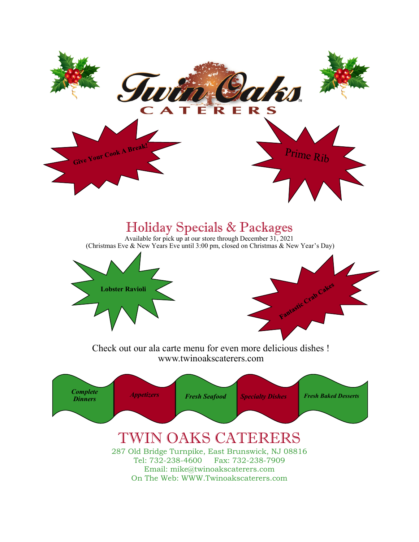

# Holiday Specials & Packages

Available for pick up at our store through December 31, 2021 (Christmas Eve & New Years Eve until 3:00 pm, closed on Christmas & New Year's Day)



Check out our ala carte menu for even more delicious dishes ! www.twinoakscaterers.com

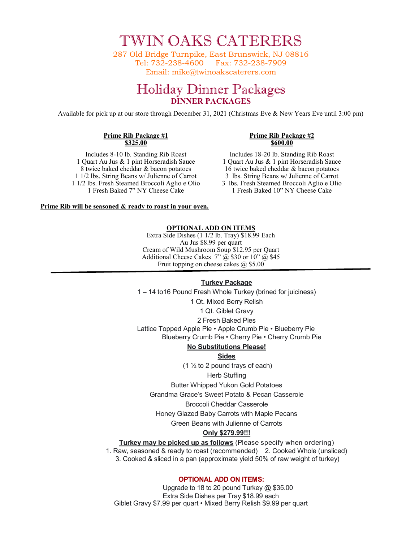TWIN OAKS CATERERS

287 Old Bridge Turnpike, East Brunswick, NJ 08816 Tel: 732-238-4600 Fax: 732-238-7909 Email: mike@twinoakscaterers.com

# Holiday Dinner Packages **DINNER PACKAGES**

Available for pick up at our store through December 31, 2021 (Christmas Eve & New Years Eve until 3:00 pm)

#### **Prime Rib Package #1 \$325.00**

#### **Prime Rib Package #2 \$600.00**

Includes 8-10 lb. Standing Rib Roast 1 Quart Au Jus & 1 pint Horseradish Sauce 8 twice baked cheddar & bacon potatoes 1 1/2 lbs. String Beans w/ Julienne of Carrot 1 1/2 lbs. Fresh Steamed Broccoli Aglio e Olio 1 Fresh Baked 7" NY Cheese Cake

Includes 18-20 lb. Standing Rib Roast 1 Quart Au Jus & 1 pint Horseradish Sauce 16 twice baked cheddar & bacon potatoes 3 lbs. String Beans w/ Julienne of Carrot 3 lbs. Fresh Steamed Broccoli Aglio e Olio 1 Fresh Baked 10" NY Cheese Cake

**Prime Rib will be seasoned & ready to roast in your oven.**

#### **OPTIONAL ADD ON ITEMS**

Extra Side Dishes (1 1/2 lb. Tray) \$18.99 Each Au Jus \$8.99 per quart Cream of Wild Mushroom Soup \$12.95 per Quart Additional Cheese Cakes  $7''$   $(\tilde{a})$  \$30 or  $10''$   $(\tilde{a})$  \$45 Fruit topping on cheese cakes  $\omega$  \$5.00

#### **Turkey Package**

1 – 14 to16 Pound Fresh Whole Turkey (brined for juiciness)

1 Qt. Mixed Berry Relish

1 Qt. Giblet Gravy 2 Fresh Baked Pies Lattice Topped Apple Pie • Apple Crumb Pie • Blueberry Pie Blueberry Crumb Pie • Cherry Pie • Cherry Crumb Pie

### **No Substitutions Please!**

**Sides**

 $(1 \frac{1}{2})$  to 2 pound trays of each)

#### Herb Stuffing

Butter Whipped Yukon Gold Potatoes

Grandma Grace's Sweet Potato & Pecan Casserole

#### Broccoli Cheddar Casserole

Honey Glazed Baby Carrots with Maple Pecans

Green Beans with Julienne of Carrots

## **Only \$279.99!!!**

**Turkey may be picked up as follows** (Please specify when ordering)

1. Raw, seasoned & ready to roast (recommended) 2. Cooked Whole (unsliced) 3. Cooked & sliced in a pan (approximate yield 50% of raw weight of turkey)

## **OPTIONAL ADD ON ITEMS:**

Upgrade to 18 to 20 pound Turkey @ \$35.00 Extra Side Dishes per Tray \$18.99 each Giblet Gravy \$7.99 per quart • Mixed Berry Relish \$9.99 per quart